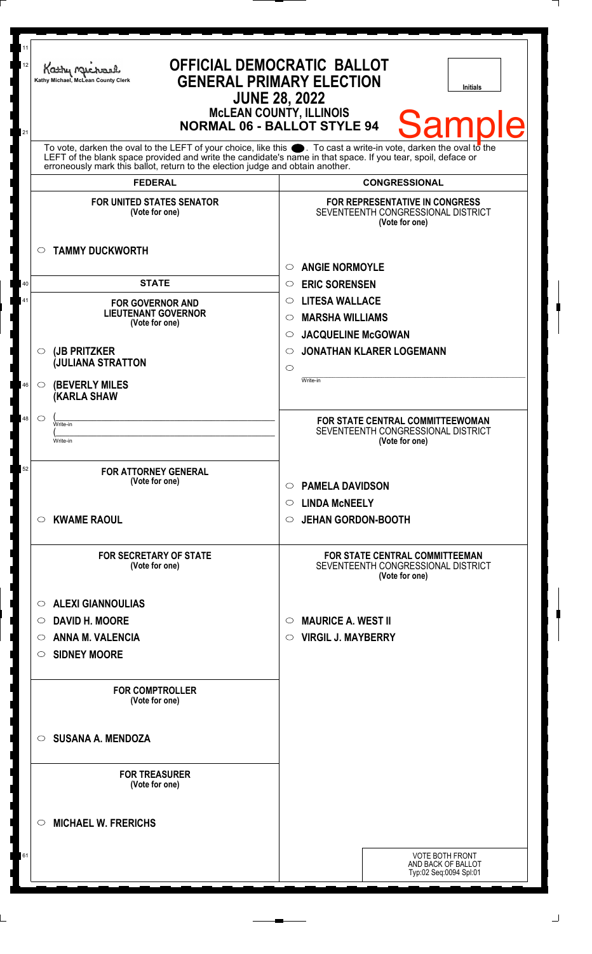| 11<br>12<br>21 | Kathy Michael<br>Kathy Michael, McLean County Clerk                                                                                                                                                                                                                                                                    | <b>OFFICIAL DEMOCRATIC BALLOT</b><br><b>GENERAL PRIMARY ELECTION</b><br><b>Initials</b><br><b>JUNE 28, 2022</b><br><b>McLEAN COUNTY, ILLINOIS</b><br><b>Samp</b><br><b>NORMAL 06 - BALLOT STYLE 94</b> |  |
|----------------|------------------------------------------------------------------------------------------------------------------------------------------------------------------------------------------------------------------------------------------------------------------------------------------------------------------------|--------------------------------------------------------------------------------------------------------------------------------------------------------------------------------------------------------|--|
|                | To vote, darken the oval to the LEFT of your choice, like this $\bullet$ . To cast a write-in vote, darken the oval to the LEFT of the blank space provided and write the candidate's name in that space. If you tear, spoil, deface<br>erroneously mark this ballot, return to the election judge and obtain another. |                                                                                                                                                                                                        |  |
|                | <b>FEDERAL</b>                                                                                                                                                                                                                                                                                                         | <b>CONGRESSIONAL</b>                                                                                                                                                                                   |  |
|                | <b>FOR UNITED STATES SENATOR</b><br>(Vote for one)                                                                                                                                                                                                                                                                     | <b>FOR REPRESENTATIVE IN CONGRESS</b><br>SEVENTEENTH CONGRESSIONAL DISTRICT<br>(Vote for one)                                                                                                          |  |
|                | <b>TAMMY DUCKWORTH</b><br>$\circ$                                                                                                                                                                                                                                                                                      |                                                                                                                                                                                                        |  |
|                |                                                                                                                                                                                                                                                                                                                        | <b>ANGIE NORMOYLE</b><br>$\circ$                                                                                                                                                                       |  |
| 40             | <b>STATE</b>                                                                                                                                                                                                                                                                                                           | <b>ERIC SORENSEN</b><br>$\circ$                                                                                                                                                                        |  |
| 41             | <b>FOR GOVERNOR AND</b><br><b>LIEUTENANT GOVERNOR</b>                                                                                                                                                                                                                                                                  | <b>LITESA WALLACE</b><br>$\circ$                                                                                                                                                                       |  |
|                | (Vote for one)                                                                                                                                                                                                                                                                                                         | <b>MARSHA WILLIAMS</b><br>$\circ$                                                                                                                                                                      |  |
|                |                                                                                                                                                                                                                                                                                                                        | <b>JACQUELINE McGOWAN</b><br>$\circ$                                                                                                                                                                   |  |
|                | (JB PRITZKER<br>$\circ$<br><b>JULIANA STRATTON</b>                                                                                                                                                                                                                                                                     | <b>JONATHAN KLARER LOGEMANN</b><br>$\circ$                                                                                                                                                             |  |
|                |                                                                                                                                                                                                                                                                                                                        | $\circ$<br>Write-in                                                                                                                                                                                    |  |
| 46             | <b>(BEVERLY MILES)</b><br>$\circ$<br><b>(KARLA SHAW</b>                                                                                                                                                                                                                                                                |                                                                                                                                                                                                        |  |
| 48             | $\circ$<br>Write-in                                                                                                                                                                                                                                                                                                    | FOR STATE CENTRAL COMMITTEEWOMAN                                                                                                                                                                       |  |
|                | Write-in                                                                                                                                                                                                                                                                                                               | SEVENTEENTH CONGRESSIONAL DISTRICT<br>(Vote for one)                                                                                                                                                   |  |
|                |                                                                                                                                                                                                                                                                                                                        |                                                                                                                                                                                                        |  |
| 52             | <b>FOR ATTORNEY GENERAL</b><br>(Vote for one)                                                                                                                                                                                                                                                                          | <b>PAMELA DAVIDSON</b><br>$\circ$                                                                                                                                                                      |  |
|                |                                                                                                                                                                                                                                                                                                                        | $\circ$ LINDA McNEELY                                                                                                                                                                                  |  |
|                | <b>KWAME RAOUL</b><br>$\circ$                                                                                                                                                                                                                                                                                          | <b>JEHAN GORDON-BOOTH</b><br>$\circ$                                                                                                                                                                   |  |
|                | <b>FOR SECRETARY OF STATE</b><br>(Vote for one)                                                                                                                                                                                                                                                                        | FOR STATE CENTRAL COMMITTEEMAN<br>SEVENTEENTH CONGRESSIONAL DISTRICT<br>(Vote for one)                                                                                                                 |  |
|                | <b>ALEXI GIANNOULIAS</b><br>$\circ$                                                                                                                                                                                                                                                                                    |                                                                                                                                                                                                        |  |
|                | <b>DAVID H. MOORE</b><br>$\circ$                                                                                                                                                                                                                                                                                       | <b>MAURICE A. WEST II</b><br>$\circ$                                                                                                                                                                   |  |
|                | <b>ANNA M. VALENCIA</b><br>$\bigcirc$                                                                                                                                                                                                                                                                                  | <b>VIRGIL J. MAYBERRY</b><br>O                                                                                                                                                                         |  |
|                | <b>SIDNEY MOORE</b><br>$\circ$                                                                                                                                                                                                                                                                                         |                                                                                                                                                                                                        |  |
|                |                                                                                                                                                                                                                                                                                                                        |                                                                                                                                                                                                        |  |
|                | <b>FOR COMPTROLLER</b><br>(Vote for one)                                                                                                                                                                                                                                                                               |                                                                                                                                                                                                        |  |
|                | <b>SUSANA A. MENDOZA</b><br>$\circ$                                                                                                                                                                                                                                                                                    |                                                                                                                                                                                                        |  |
|                | <b>FOR TREASURER</b><br>(Vote for one)                                                                                                                                                                                                                                                                                 |                                                                                                                                                                                                        |  |
|                | <b>MICHAEL W. FRERICHS</b><br>$\circ$                                                                                                                                                                                                                                                                                  |                                                                                                                                                                                                        |  |
| 61             |                                                                                                                                                                                                                                                                                                                        | <b>VOTE BOTH FRONT</b>                                                                                                                                                                                 |  |
|                |                                                                                                                                                                                                                                                                                                                        | AND BACK OF BALLOT<br>Typ:02 Seq:0094 Spl:01                                                                                                                                                           |  |
|                |                                                                                                                                                                                                                                                                                                                        |                                                                                                                                                                                                        |  |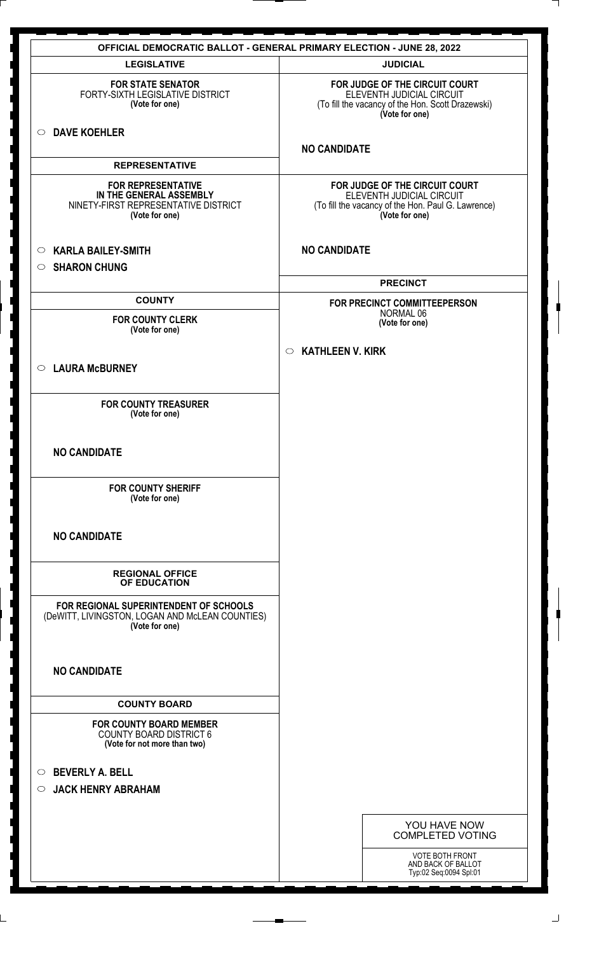|                                                                                                                | <b>OFFICIAL DEMOCRATIC BALLOT - GENERAL PRIMARY ELECTION - JUNE 28, 2022</b>                                                        |
|----------------------------------------------------------------------------------------------------------------|-------------------------------------------------------------------------------------------------------------------------------------|
| <b>LEGISLATIVE</b>                                                                                             | <b>JUDICIAL</b>                                                                                                                     |
| <b>FOR STATE SENATOR</b><br>FORTY-SIXTH LEGISLATIVE DISTRICT<br>(Vote for one)                                 | FOR JUDGE OF THE CIRCUIT COURT<br>ELEVENTH JUDICIAL CIRCUIT<br>(To fill the vacancy of the Hon. Scott Drazewski)<br>(Vote for one)  |
| <b>DAVE KOEHLER</b><br>$\circ$                                                                                 | <b>NO CANDIDATE</b>                                                                                                                 |
| <b>REPRESENTATIVE</b>                                                                                          |                                                                                                                                     |
| <b>FOR REPRESENTATIVE</b><br>IN THE GENERAL ASSEMBLY<br>NINETY-FIRST REPRESENTATIVE DISTRICT<br>(Vote for one) | FOR JUDGE OF THE CIRCUIT COURT<br>ELEVENTH JUDICIAL CIRCUIT<br>(To fill the vacancy of the Hon. Paul G. Lawrence)<br>(Vote for one) |
| <b>KARLA BAILEY-SMITH</b><br>$\circ$                                                                           | <b>NO CANDIDATE</b>                                                                                                                 |
| <b>SHARON CHUNG</b><br>$\circ$                                                                                 |                                                                                                                                     |
|                                                                                                                | <b>PRECINCT</b>                                                                                                                     |
| <b>COUNTY</b>                                                                                                  | FOR PRECINCT COMMITTEEPERSON<br>NORMAL 06                                                                                           |
| <b>FOR COUNTY CLERK</b><br>(Vote for one)                                                                      | (Vote for one)                                                                                                                      |
|                                                                                                                | <b>KATHLEEN V. KIRK</b><br>$\circ$                                                                                                  |
| <b>LAURA McBURNEY</b><br>$\circ$                                                                               |                                                                                                                                     |
| <b>FOR COUNTY TREASURER</b><br>(Vote for one)                                                                  |                                                                                                                                     |
| <b>NO CANDIDATE</b>                                                                                            |                                                                                                                                     |
| <b>FOR COUNTY SHERIFF</b><br>(Vote for one)                                                                    |                                                                                                                                     |
| <b>NO CANDIDATE</b>                                                                                            |                                                                                                                                     |
| <b>REGIONAL OFFICE</b><br>OF EDUCATION                                                                         |                                                                                                                                     |
| FOR REGIONAL SUPERINTENDENT OF SCHOOLS<br>(DeWITT, LIVINGSTON, LOGAN AND McLEAN COUNTIES)<br>(Vote for one)    |                                                                                                                                     |
| <b>NO CANDIDATE</b>                                                                                            |                                                                                                                                     |
| <b>COUNTY BOARD</b>                                                                                            |                                                                                                                                     |
| <b>FOR COUNTY BOARD MEMBER</b><br><b>COUNTY BOARD DISTRICT 6</b><br>(Vote for not more than two)               |                                                                                                                                     |
| <b>BEVERLY A. BELL</b><br>$\circ$<br><b>JACK HENRY ABRAHAM</b><br>$\circ$                                      |                                                                                                                                     |
|                                                                                                                | YOU HAVE NOW<br><b>COMPLETED VOTING</b>                                                                                             |
|                                                                                                                | <b>VOTE BOTH FRONT</b><br>AND BACK OF BALLOT<br>Typ:02 Seq:0094 Spl:01                                                              |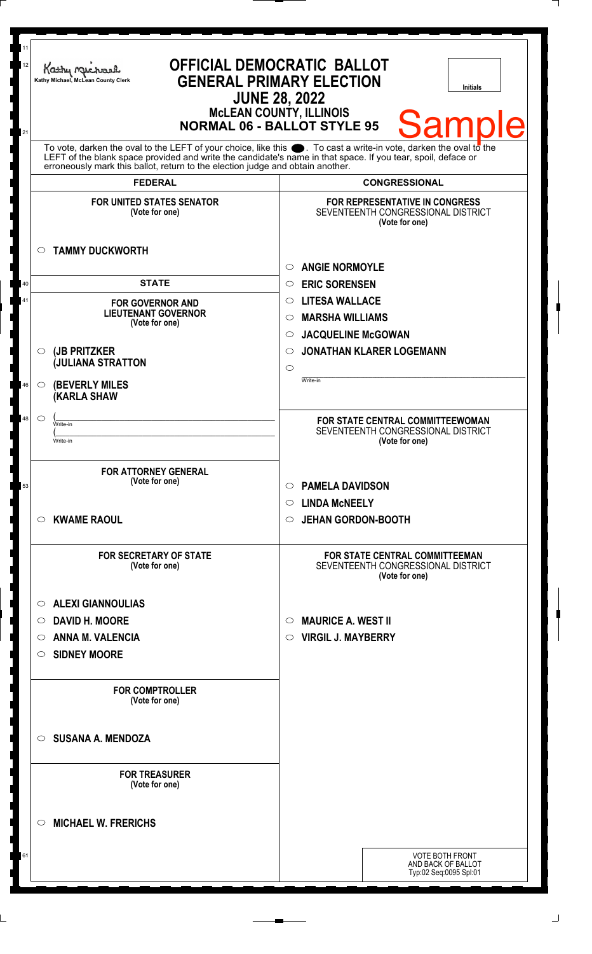| 11<br>12<br>21 | <b>OFFICIAL DEMOCRATIC BALLOT</b><br>Kathy Michael<br><b>GENERAL PRIMARY ELECTION</b><br>Kathy Michael, McLean County Clerk<br><b>Initials</b><br><b>JUNE 28, 2022</b><br><b>McLEAN COUNTY, ILLINOIS</b><br>Samp<br><b>NORMAL 06 - BALLOT STYLE 95</b>                                                                 |                                                                                               |
|----------------|------------------------------------------------------------------------------------------------------------------------------------------------------------------------------------------------------------------------------------------------------------------------------------------------------------------------|-----------------------------------------------------------------------------------------------|
|                | To vote, darken the oval to the LEFT of your choice, like this $\bullet$ . To cast a write-in vote, darken the oval to the LEFT of the blank space provided and write the candidate's name in that space. If you tear, spoil, deface<br>erroneously mark this ballot, return to the election judge and obtain another. |                                                                                               |
|                | <b>FEDERAL</b>                                                                                                                                                                                                                                                                                                         | <b>CONGRESSIONAL</b>                                                                          |
|                | <b>FOR UNITED STATES SENATOR</b><br>(Vote for one)<br><b>TAMMY DUCKWORTH</b><br>$\circ$                                                                                                                                                                                                                                | <b>FOR REPRESENTATIVE IN CONGRESS</b><br>SEVENTEENTH CONGRESSIONAL DISTRICT<br>(Vote for one) |
|                |                                                                                                                                                                                                                                                                                                                        | <b>ANGIE NORMOYLE</b><br>$\circ$                                                              |
| 40             | <b>STATE</b>                                                                                                                                                                                                                                                                                                           | <b>ERIC SORENSEN</b><br>$\circ$                                                               |
| 41             | <b>FOR GOVERNOR AND</b>                                                                                                                                                                                                                                                                                                | <b>LITESA WALLACE</b><br>$\circ$                                                              |
|                | <b>LIEUTENANT GOVERNOR</b><br>(Vote for one)                                                                                                                                                                                                                                                                           | <b>MARSHA WILLIAMS</b><br>$\circ$                                                             |
|                |                                                                                                                                                                                                                                                                                                                        | <b>JACQUELINE McGOWAN</b><br>$\circ$                                                          |
|                | (JB PRITZKER<br>$\circ$                                                                                                                                                                                                                                                                                                | <b>JONATHAN KLARER LOGEMANN</b><br>$\circ$                                                    |
|                | <b>JULIANA STRATTON</b>                                                                                                                                                                                                                                                                                                | $\circ$                                                                                       |
| 46             | <b>(BEVERLY MILES</b><br>$\circ$<br>(KARLA SHAW                                                                                                                                                                                                                                                                        | Write-in                                                                                      |
| 48             | $\circ$<br>Write-in                                                                                                                                                                                                                                                                                                    | FOR STATE CENTRAL COMMITTEEWOMAN                                                              |
|                | Write-in                                                                                                                                                                                                                                                                                                               | SEVENTEENTH CONGRESSIONAL DISTRICT<br>(Vote for one)                                          |
|                |                                                                                                                                                                                                                                                                                                                        |                                                                                               |
| 53             | <b>FOR ATTORNEY GENERAL</b><br>(Vote for one)                                                                                                                                                                                                                                                                          | <b>PAMELA DAVIDSON</b><br>$\circ$                                                             |
|                |                                                                                                                                                                                                                                                                                                                        | $\circ$ LINDA McNEELY                                                                         |
|                | <b>KWAME RAOUL</b><br>$\circ$                                                                                                                                                                                                                                                                                          | <b>JEHAN GORDON-BOOTH</b><br>$\circ$                                                          |
|                | <b>FOR SECRETARY OF STATE</b><br>(Vote for one)                                                                                                                                                                                                                                                                        | <b>FOR STATE CENTRAL COMMITTEEMAN</b><br>SEVENTEENTH CONGRESSIONAL DISTRICT<br>(Vote for one) |
|                | <b>ALEXI GIANNOULIAS</b><br>$\circ$                                                                                                                                                                                                                                                                                    |                                                                                               |
|                | <b>DAVID H. MOORE</b><br>O                                                                                                                                                                                                                                                                                             | <b>MAURICE A. WEST II</b><br>$\circ$                                                          |
|                | <b>ANNA M. VALENCIA</b><br>O                                                                                                                                                                                                                                                                                           | <b>VIRGIL J. MAYBERRY</b><br>$\circ$                                                          |
|                | <b>SIDNEY MOORE</b><br>O                                                                                                                                                                                                                                                                                               |                                                                                               |
|                | <b>FOR COMPTROLLER</b><br>(Vote for one)                                                                                                                                                                                                                                                                               |                                                                                               |
|                | <b>SUSANA A. MENDOZA</b><br>◯                                                                                                                                                                                                                                                                                          |                                                                                               |
|                | <b>FOR TREASURER</b><br>(Vote for one)                                                                                                                                                                                                                                                                                 |                                                                                               |
|                | <b>MICHAEL W. FRERICHS</b><br>◯                                                                                                                                                                                                                                                                                        |                                                                                               |
| 61             |                                                                                                                                                                                                                                                                                                                        | <b>VOTE BOTH FRONT</b>                                                                        |
|                |                                                                                                                                                                                                                                                                                                                        | AND BACK OF BALLOT<br>Typ:02 Seq:0095 Spl:01                                                  |
|                |                                                                                                                                                                                                                                                                                                                        |                                                                                               |